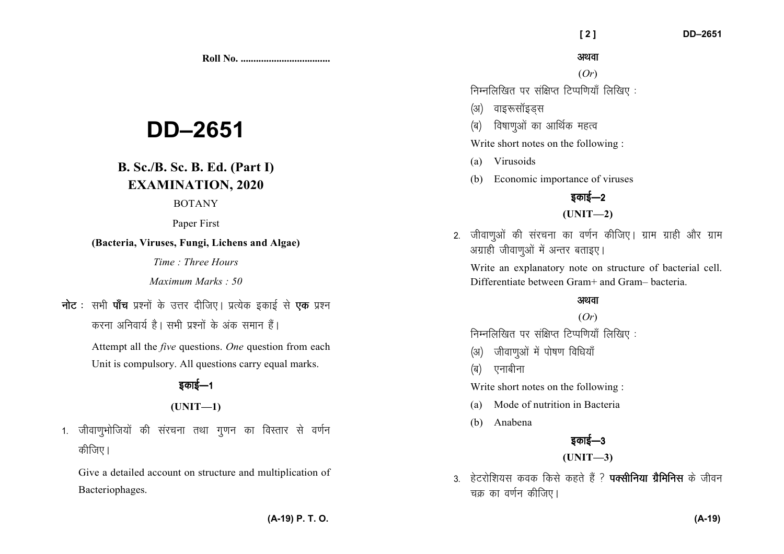**Roll No. ...................................** 

# **DD–2651**

# **B. Sc./B. Sc. B. Ed. (Part I)EXAMINATION, 2020**

#### BOTANY

Paper First

## **(Bacteria, Viruses, Fungi, Lichens and Algae)**

*Time : Three Hours* 

*Maximum Marks : 50*

**नोट** : सभी **पॉच** प्रश्नों के उत्तर दीजिए। प्रत्येक इकाई से **एक** प्रश्न

*djuk vfuok;Z gSA lHkh iz'uksa d¢ vad leku gSaA* 

 Attempt all the *five* questions. *One* question from each Unit is compulsory. All questions carry equal marks.

# <u> इकाई—1</u>

# **(UNIT—1)**

1. जीवाणभोजियों की संरचना तथा गणन का विस्तार से वर्णन *कीजिए* ।

Give a detailed account on structure and multiplication of Bacteriophages.

### अथवा

(*Or*)

*fuEufyf[kr ij laf{kIr fVIif.k;k¡ fyf[k, %* 

- *(अ)* वाइरूसॉइडस
- *(*ब) विषाणओं का आर्थिक महत्व

Write short notes on the following :

- (a) Virusoids
- (b) Economic importance of viruses

# <u>5काई—2</u>

## **(UNIT—2)**

*2- thok.kqvksa dh lajpuk dk o.kZu dhft,A xzke xzkgh vkSj xzke अग्राही जीवाण्ओं में अन्तर बताइए।* 

Write an explanatory note on structure of bacterial cell. Differentiate between Gram+ and Gram– bacteria.

# अथवा

## (*Or*)

*fuEufyf[kr ij laf{kIr fVIif.k;k¡ fyf[k, %* 

- *(अ)* जीवाणुओं में पोषण विधियाँ
- *(*ब) एनाबीना

Write short notes on the following :

- (a) Mode of nutrition in Bacteria
- (b) Anabena



**(UNIT—3)** 

3. हेटरोशियस कवक किसे कहते हैं ? **पक्सीनिया ग्रैमिनिस** के जीवन *चक्र का व*र्णन कीजिए।